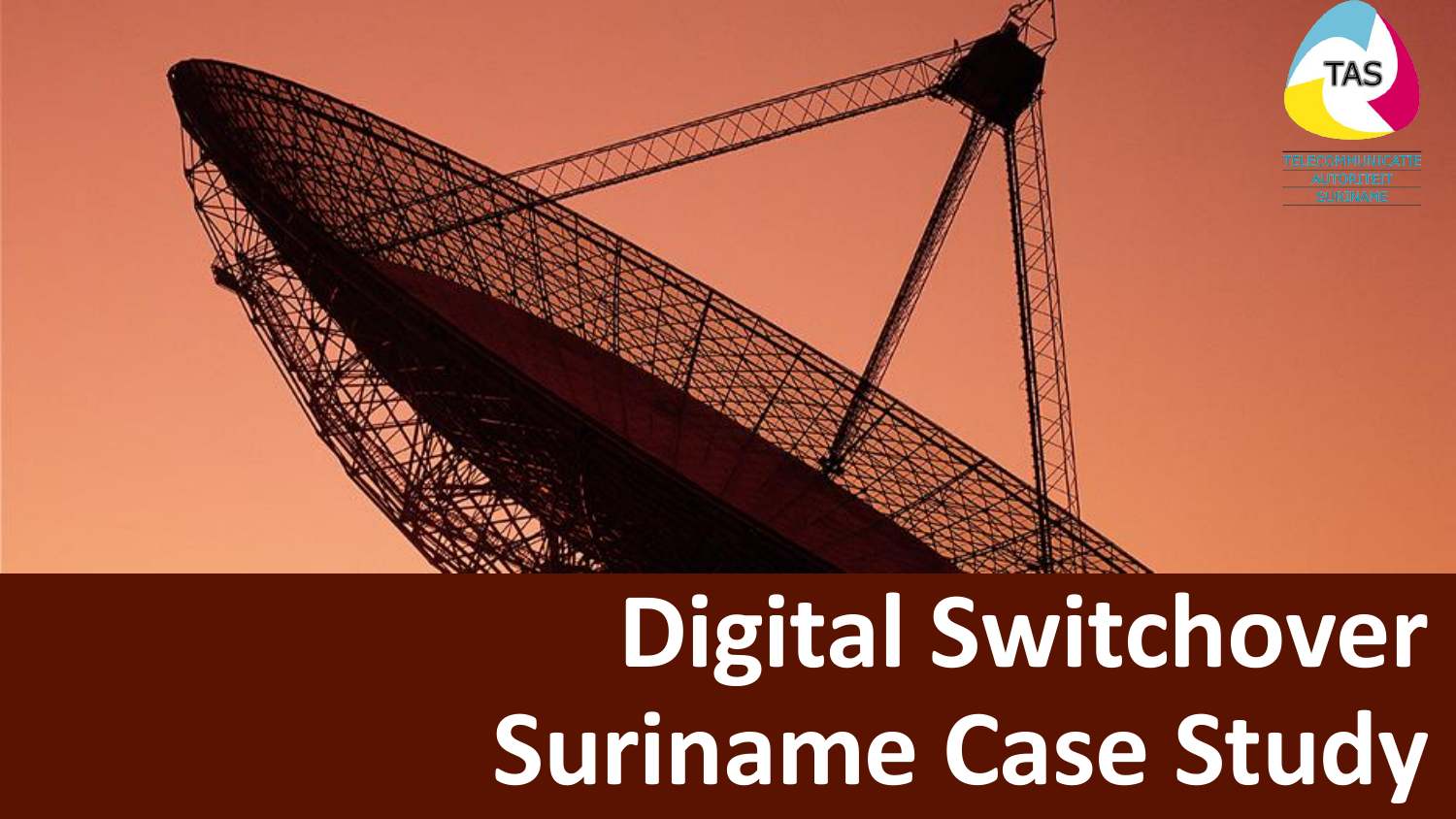

# **Digital Switchover Suriname Case Study**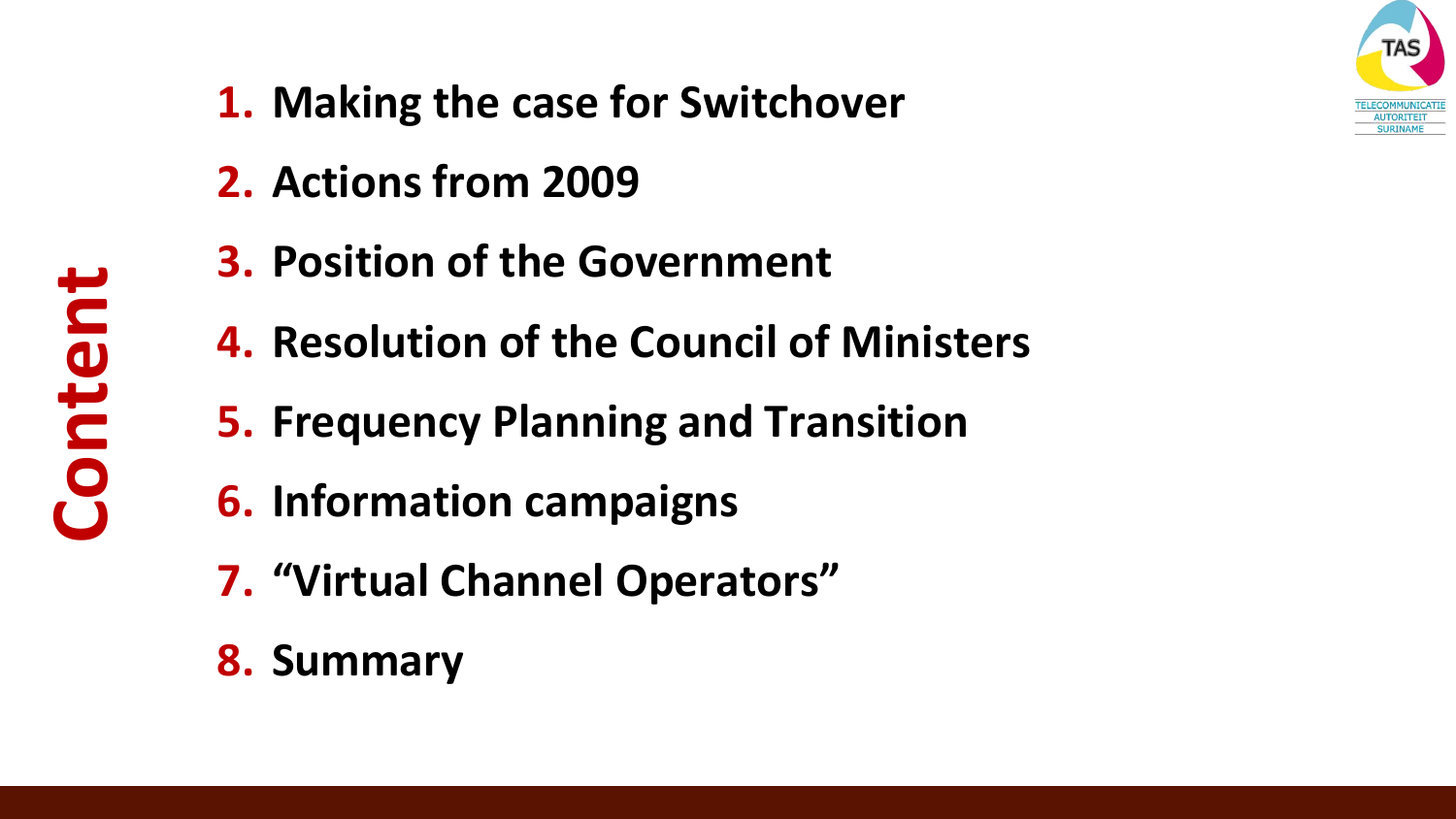

- **1. Making the case for Switchover**
- **2. Actions from 2009**
- **3. Position of the Government**
- **4. Resolution of the Council of Ministers**
- **5. Frequency Planning and Transition**
- **6. Information campaigns**
- **7. "Virtual Channel Operators"**
- **8. Summary**

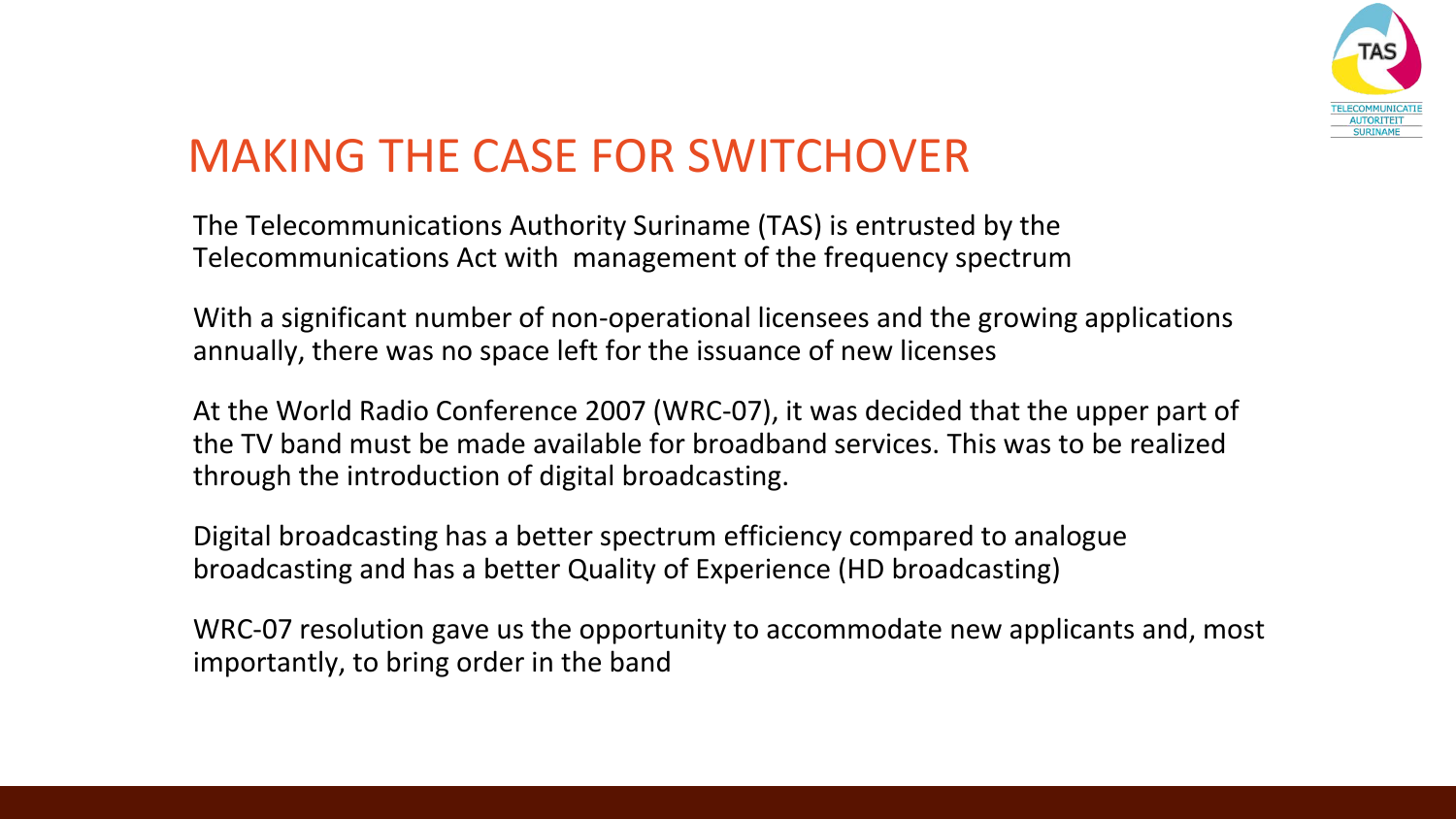

# MAKING THE CASE FOR SWITCHOVER

The Telecommunications Authority Suriname (TAS) is entrusted by the Telecommunications Act with management of the frequency spectrum

With a significant number of non-operational licensees and the growing applications annually, there was no space left for the issuance of new licenses

At the World Radio Conference 2007 (WRC-07), it was decided that the upper part of the TV band must be made available for broadband services. This was to be realized through the introduction of digital broadcasting.

Digital broadcasting has a better spectrum efficiency compared to analogue broadcasting and has a better Quality of Experience (HD broadcasting)

WRC-07 resolution gave us the opportunity to accommodate new applicants and, most importantly, to bring order in the band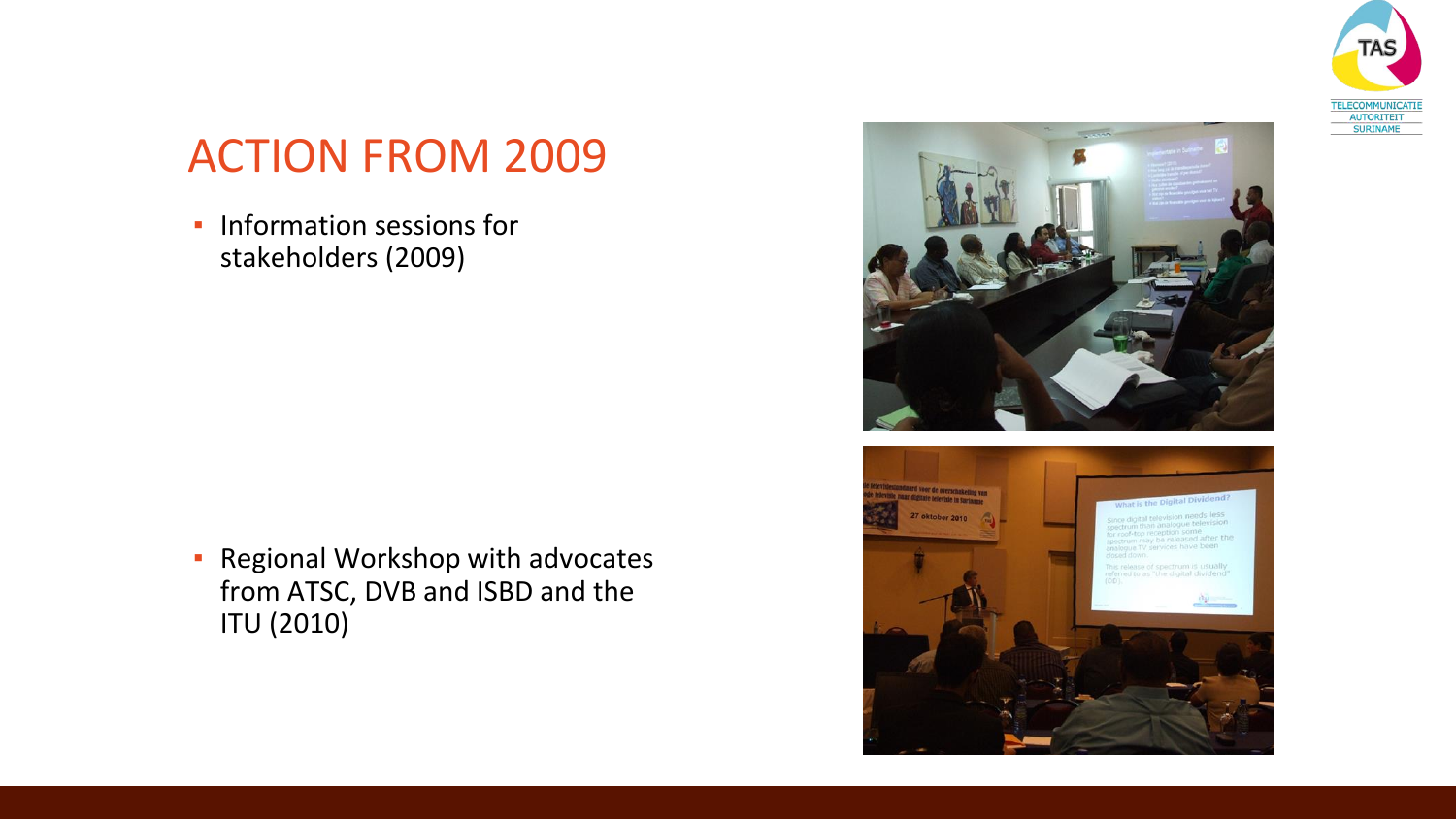

## ACTION FROM 2009

**·** Information sessions for stakeholders (2009)

**Regional Workshop with advocates** from ATSC, DVB and ISBD and the ITU (2010)



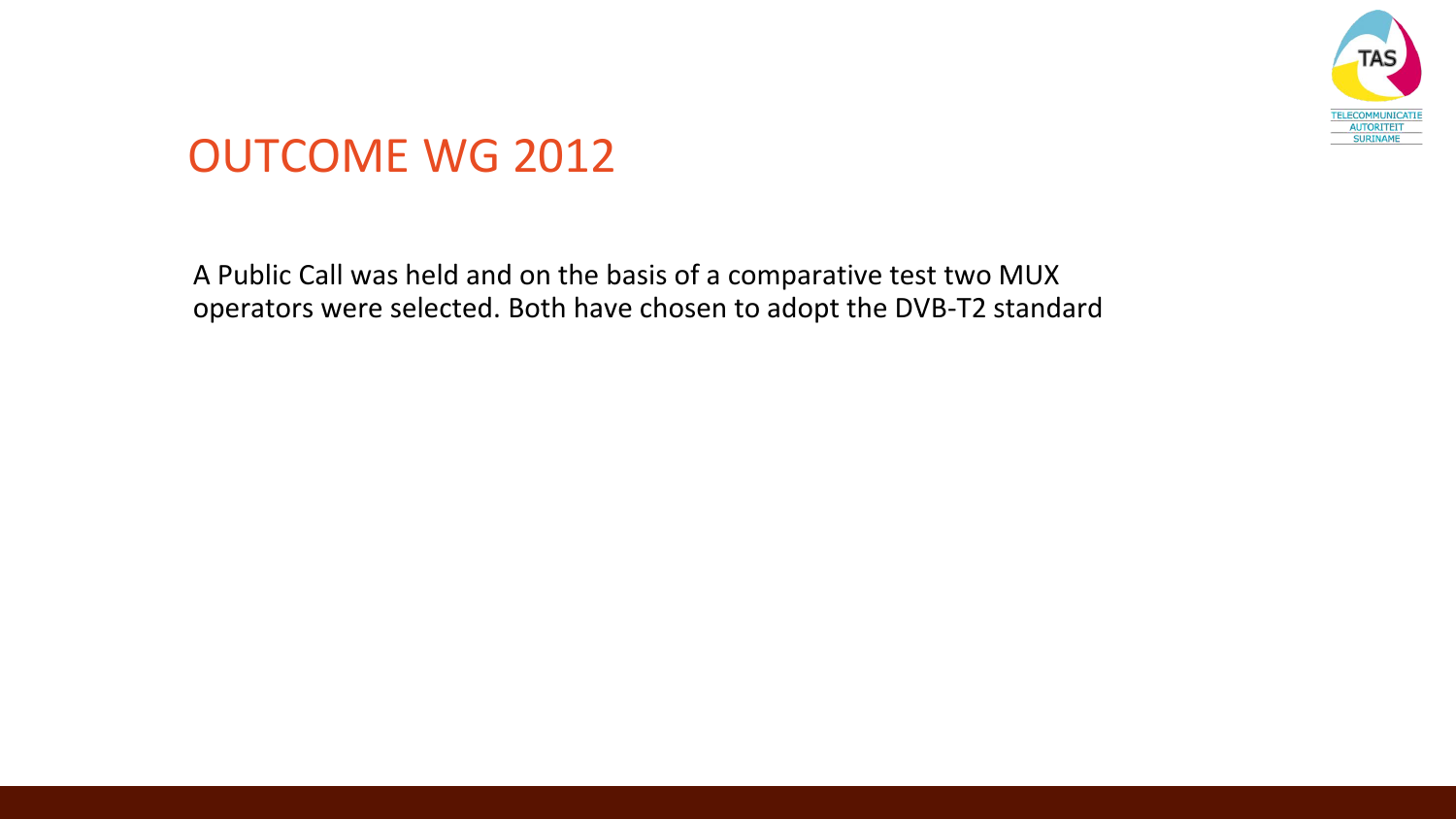

#### OUTCOME WG 2012

A Public Call was held and on the basis of a comparative test two MUX operators were selected. Both have chosen to adopt the DVB-T2 standard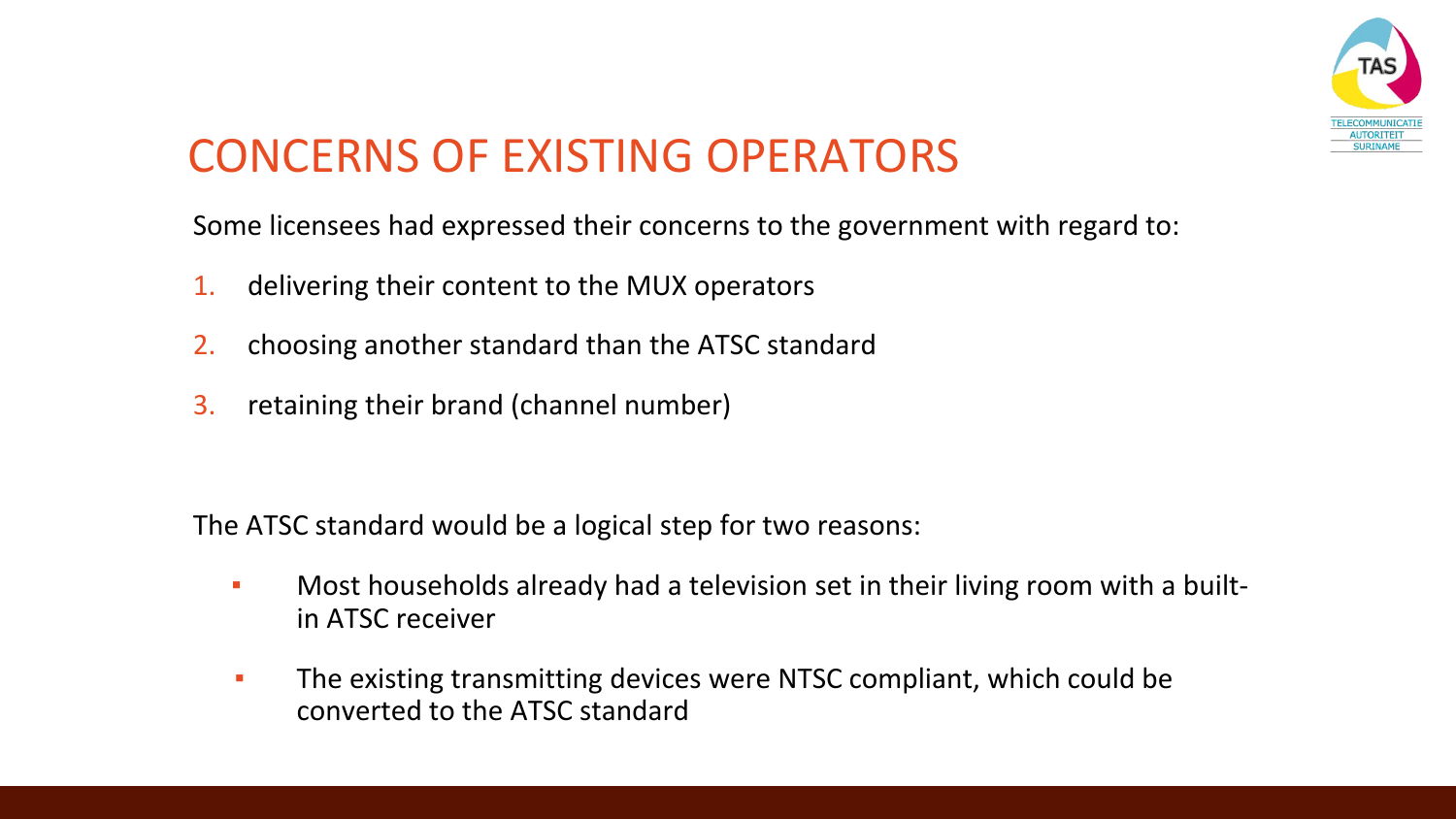

# CONCERNS OF EXISTING OPERATORS

Some licensees had expressed their concerns to the government with regard to:

- 1. delivering their content to the MUX operators
- 2. choosing another standard than the ATSC standard
- 3. retaining their brand (channel number)

The ATSC standard would be a logical step for two reasons:

- **EXEDENT Most households already had a television set in their living room with a built**in ATSC receiver
- The existing transmitting devices were NTSC compliant, which could be converted to the ATSC standard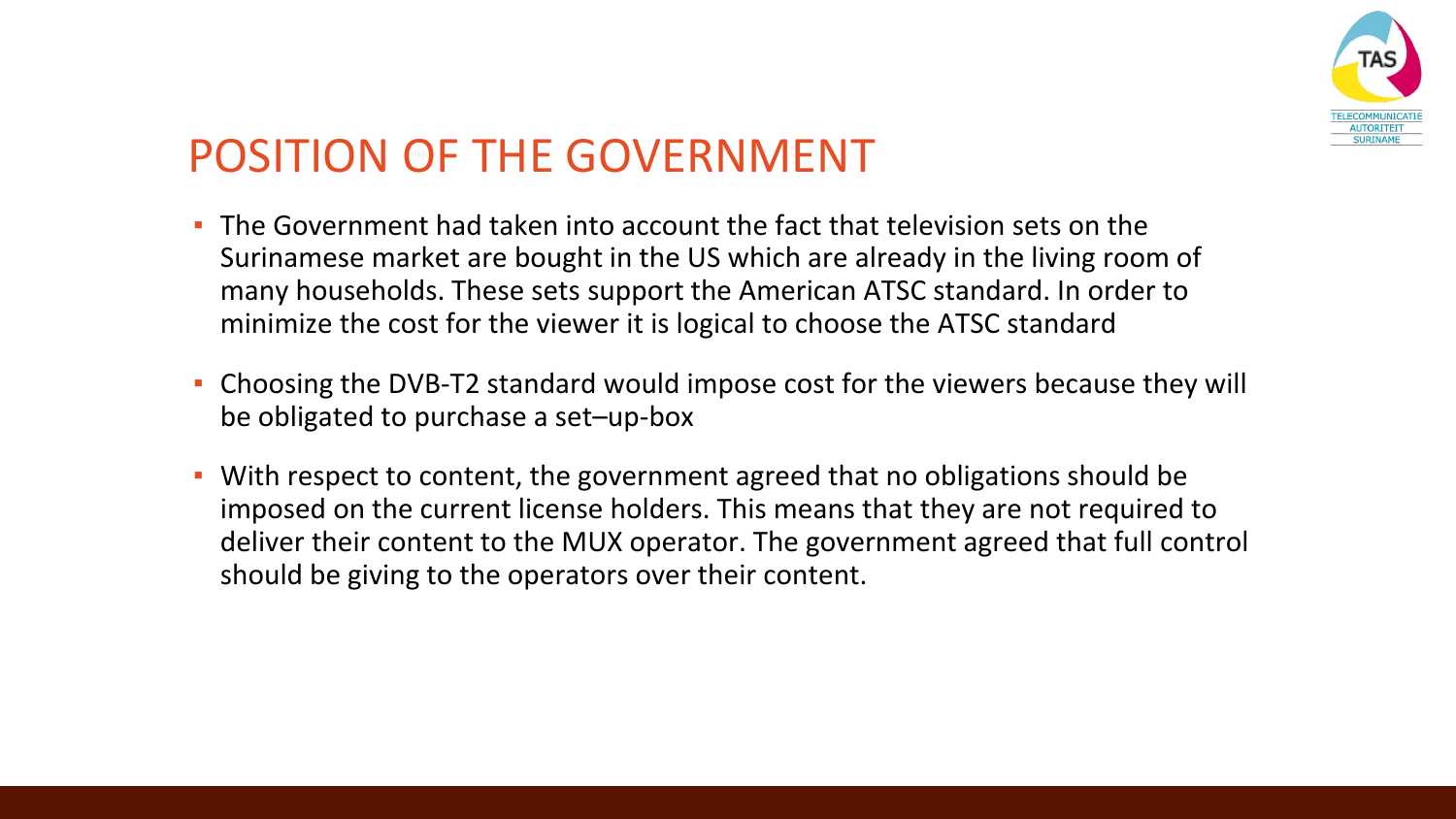

### POSITION OF THE GOVERNMENT

- The Government had taken into account the fact that television sets on the Surinamese market are bought in the US which are already in the living room of many households. These sets support the American ATSC standard. In order to minimize the cost for the viewer it is logical to choose the ATSC standard
- Choosing the DVB-T2 standard would impose cost for the viewers because they will be obligated to purchase a set–up-box
- With respect to content, the government agreed that no obligations should be imposed on the current license holders. This means that they are not required to deliver their content to the MUX operator. The government agreed that full control should be giving to the operators over their content.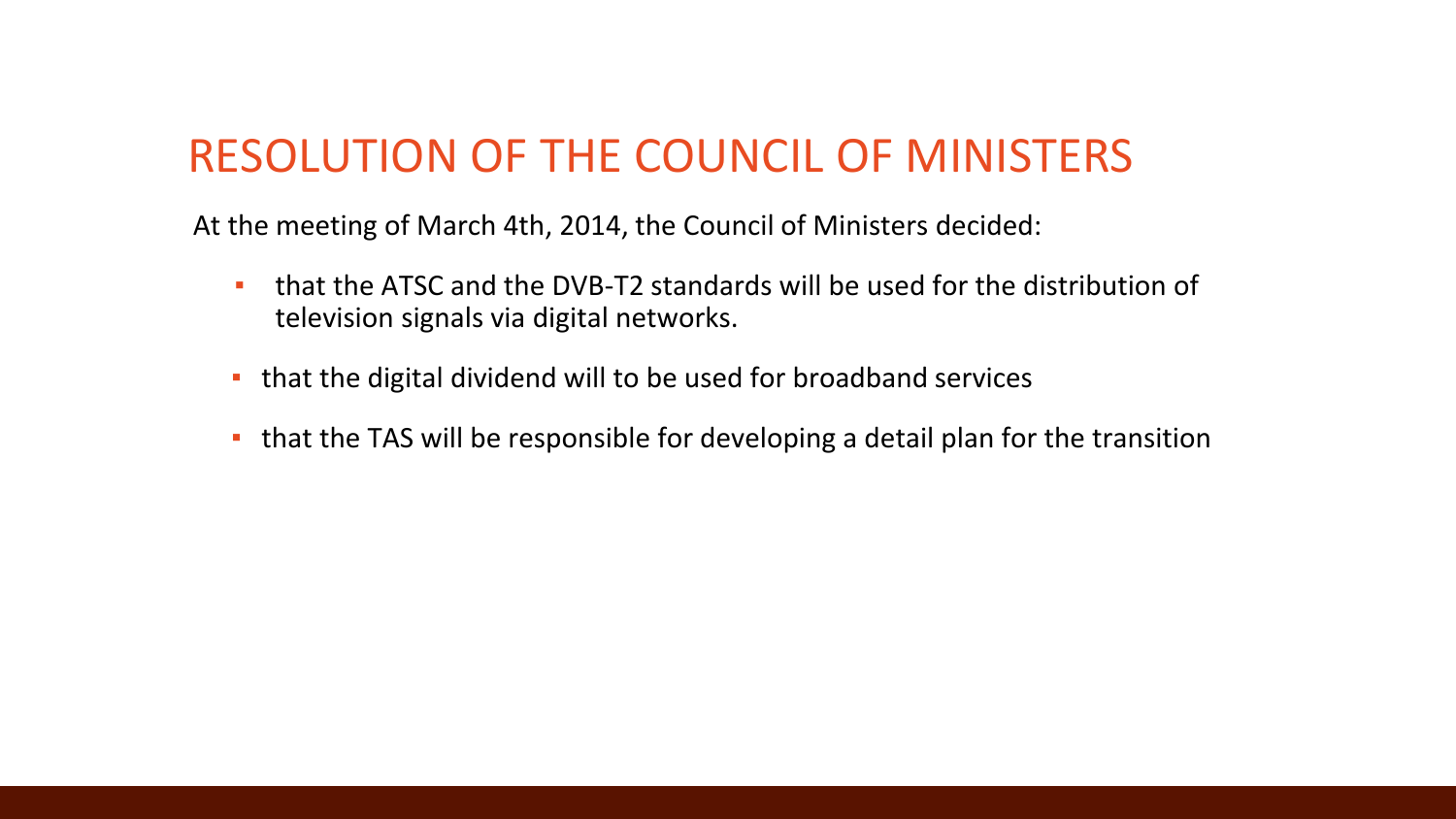### RESOLUTION OF THE COUNCIL OF MINISTERS

At the meeting of March 4th, 2014, the Council of Ministers decided:

- that the ATSC and the DVB-T2 standards will be used for the distribution of television signals via digital networks.
- **.** that the digital dividend will to be used for broadband services
- **.** that the TAS will be responsible for developing a detail plan for the transition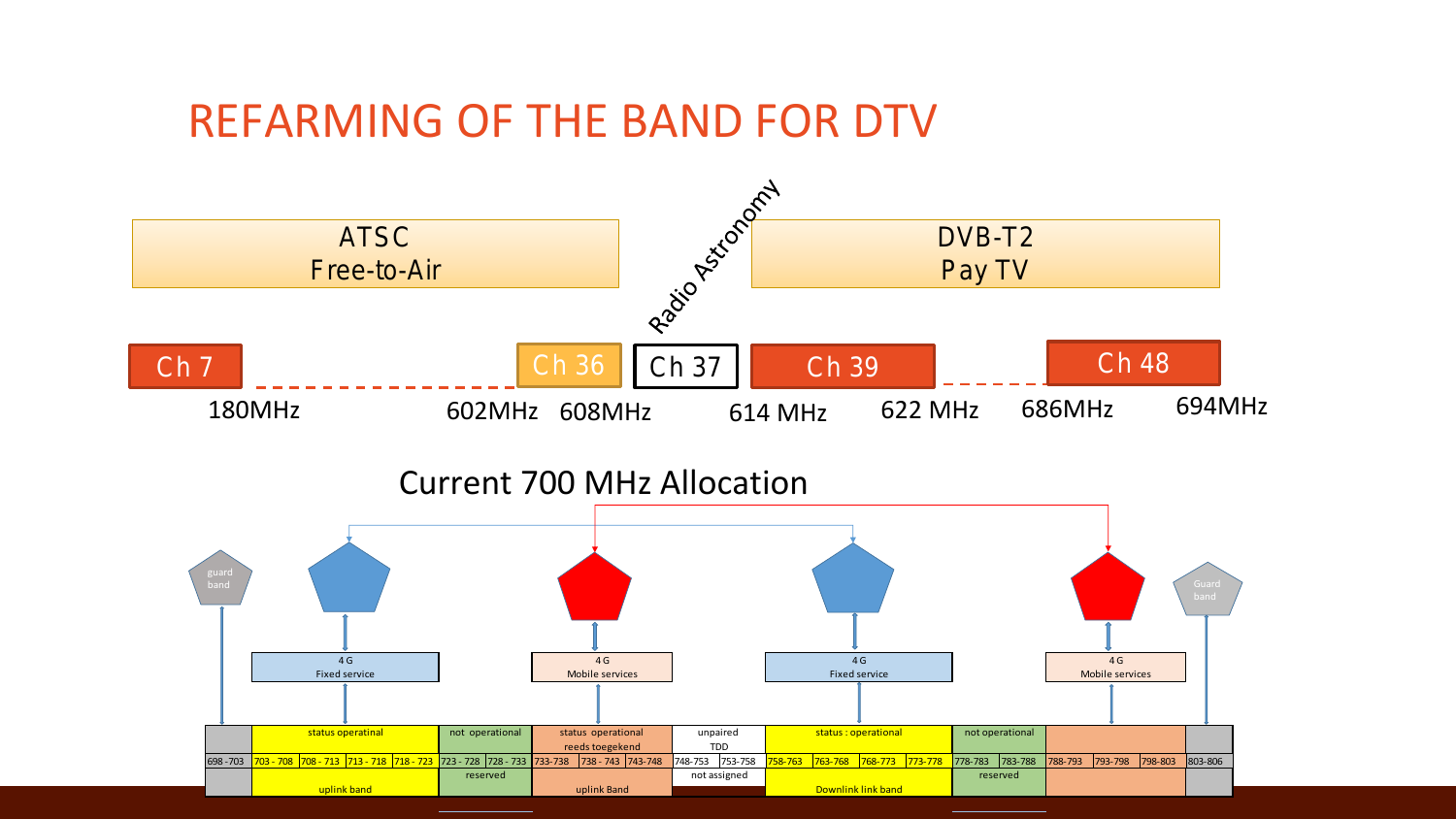#### REFARMING OF THE BAND FOR DTV

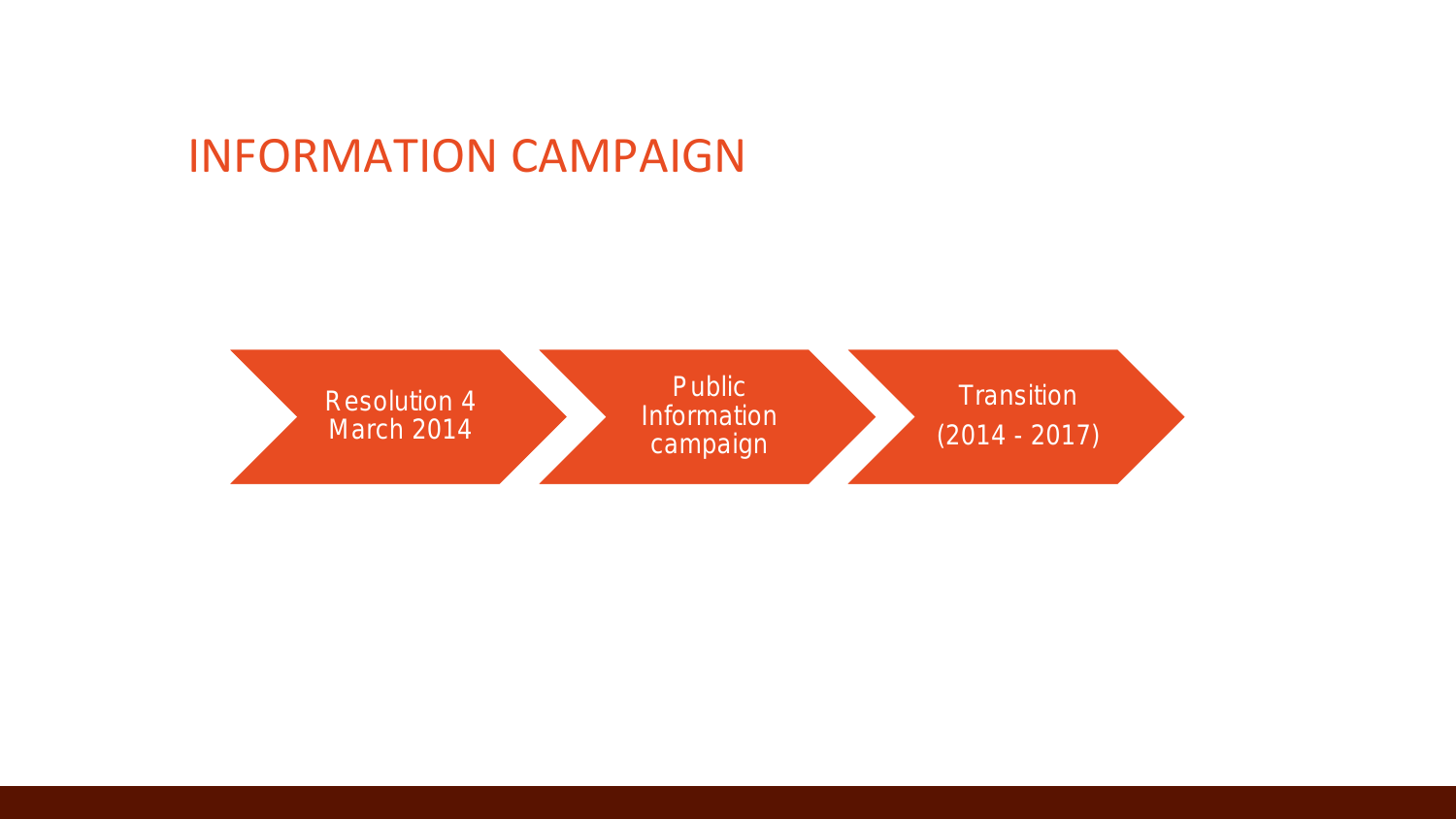#### INFORMATION CAMPAIGN

Resolution 4 March 2014 Public Information campaign **Transition** (2014 - 2017)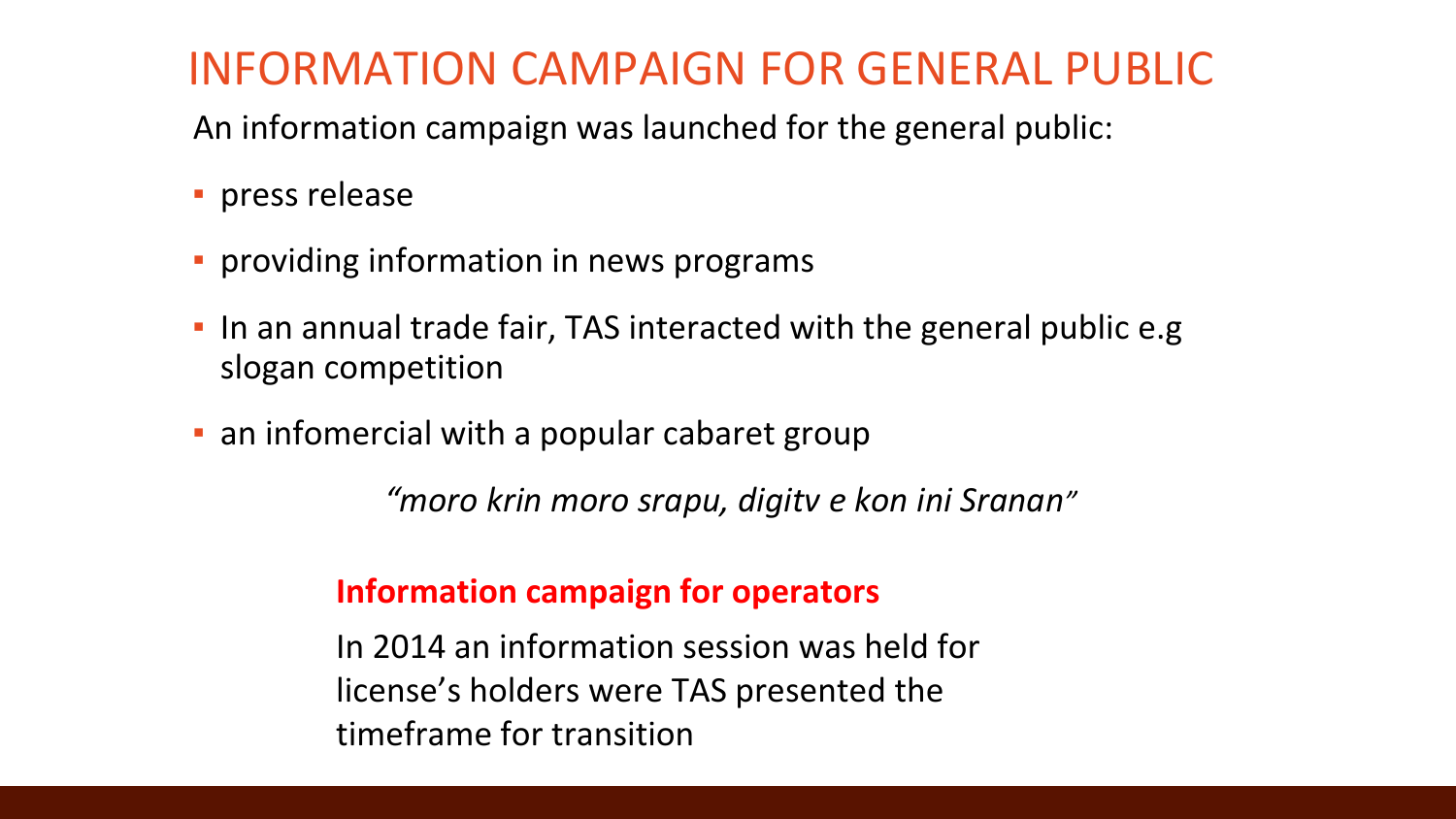### INFORMATION CAMPAIGN FOR GENERAL PUBLIC

An information campaign was launched for the general public:

- **·** press release
- **·** providing information in news programs
- **.** In an annual trade fair, TAS interacted with the general public e.g slogan competition
- **Example 2 an infomercial with a popular cabaret group**

*"moro krin moro srapu, digitv e kon ini Sranan"*

#### **Information campaign for operators**

In 2014 an information session was held for license's holders were TAS presented the timeframe for transition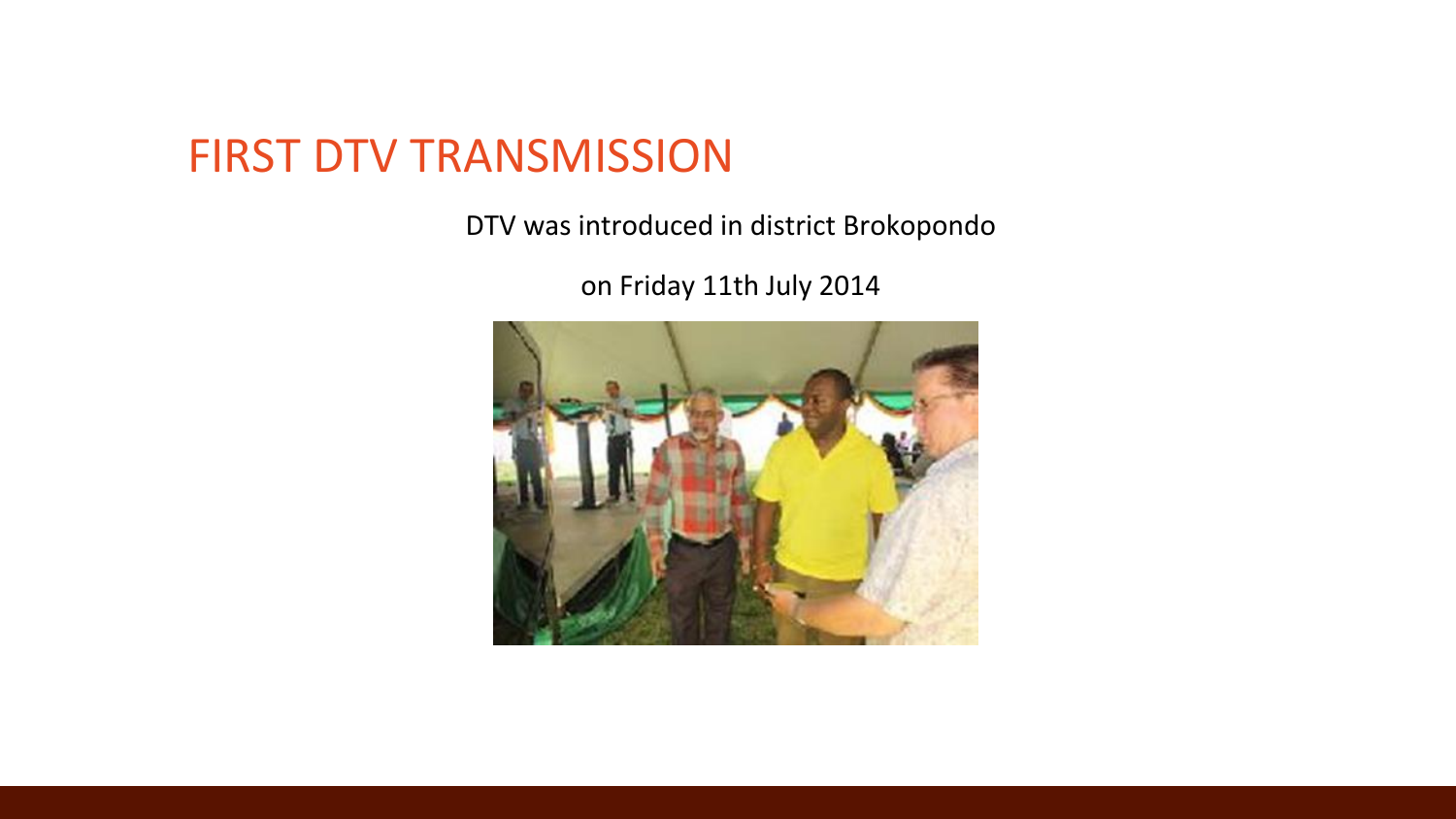#### FIRST DTV TRANSMISSION

DTV was introduced in district Brokopondo

on Friday 11th July 2014

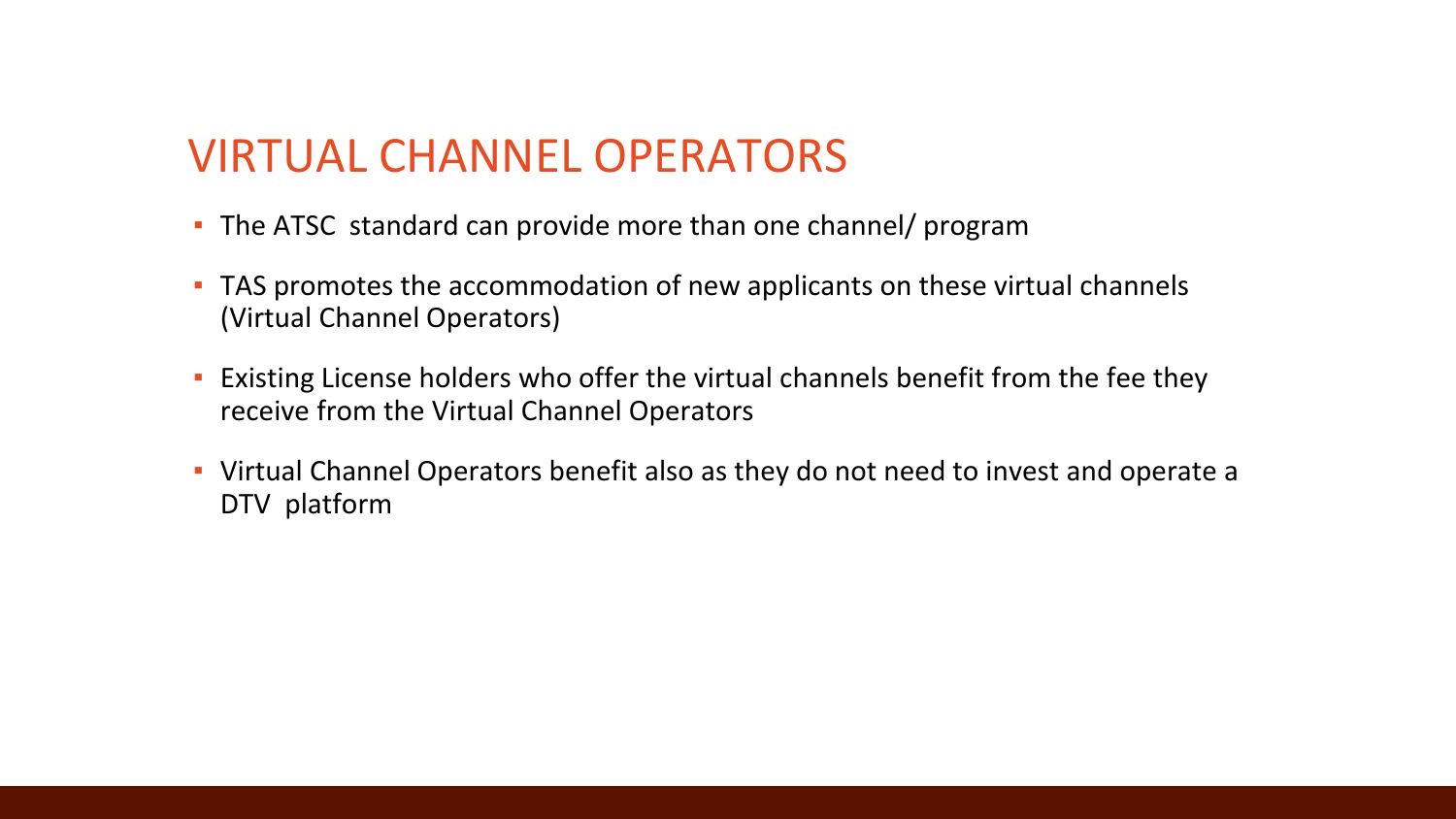#### VIRTUAL CHANNEL OPERATORS

- **The ATSC standard can provide more than one channel/ program**
- **TAS promotes the accommodation of new applicants on these virtual channels** (Virtual Channel Operators)
- Existing License holders who offer the virtual channels benefit from the fee they receive from the Virtual Channel Operators
- **·** Virtual Channel Operators benefit also as they do not need to invest and operate a DTV platform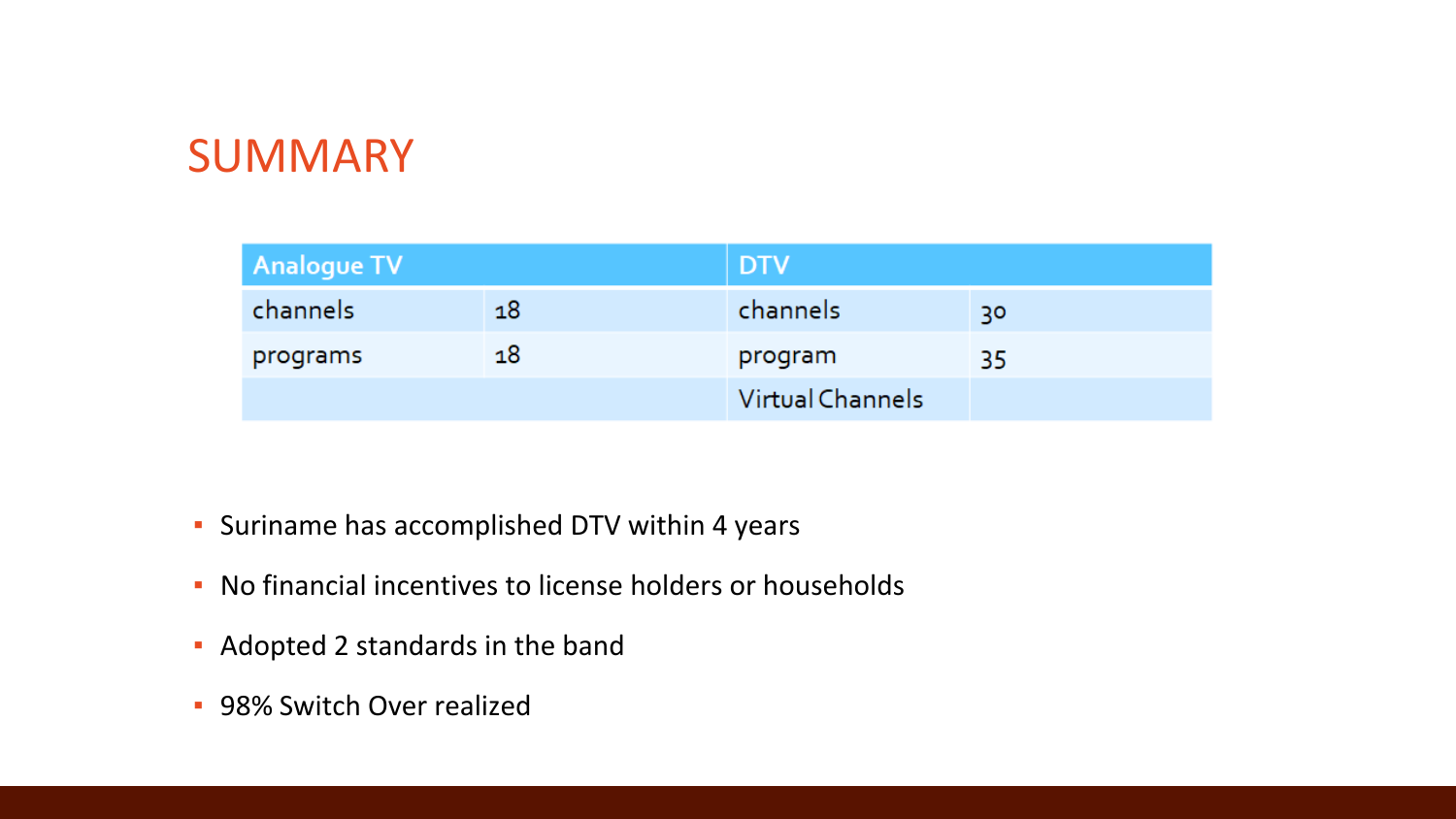#### SUMMARY

| Analogue TV |    | <b>DTV</b>       |    |
|-------------|----|------------------|----|
| channels    | 18 | channels         | 30 |
| programs    | 18 | program          | 35 |
|             |    | Virtual Channels |    |

- Suriname has accomplished DTV within 4 years
- No financial incentives to license holders or households
- Adopted 2 standards in the band
- **98% Switch Over realized**